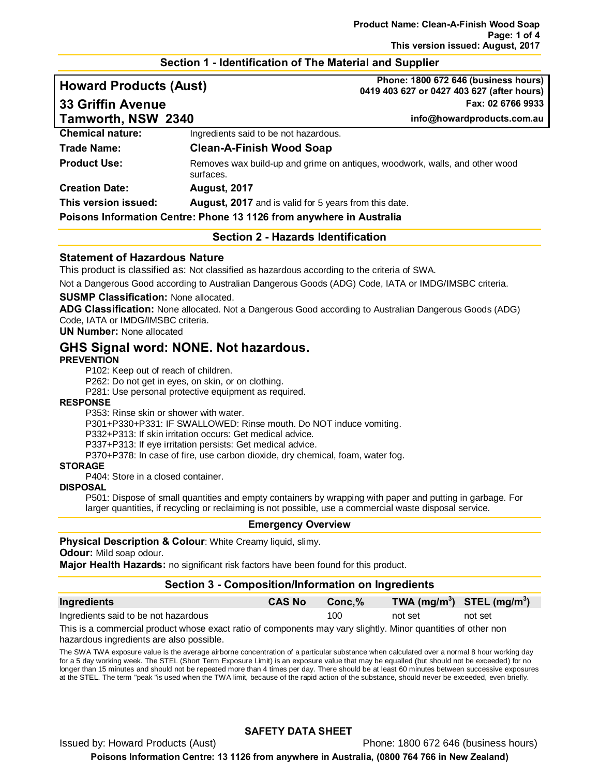## **Section 1 - Identification of The Material and Supplier**

| <b>Howard Products (Aust)</b> |                                                                                          | Phone: 1800 672 646 (business hours)<br>0419 403 627 or 0427 403 627 (after hours) |  |
|-------------------------------|------------------------------------------------------------------------------------------|------------------------------------------------------------------------------------|--|
| <b>33 Griffin Avenue</b>      |                                                                                          | Fax: 02 6766 9933                                                                  |  |
| Tamworth, NSW 2340            |                                                                                          | info@howardproducts.com.au                                                         |  |
| <b>Chemical nature:</b>       | Ingredients said to be not hazardous.                                                    |                                                                                    |  |
| <b>Trade Name:</b>            | <b>Clean-A-Finish Wood Soap</b>                                                          |                                                                                    |  |
| <b>Product Use:</b>           | Removes wax build-up and grime on antiques, woodwork, walls, and other wood<br>surfaces. |                                                                                    |  |
| <b>Creation Date:</b>         | <b>August, 2017</b>                                                                      |                                                                                    |  |
| This version issued:          | <b>August, 2017</b> and is valid for 5 years from this date.                             |                                                                                    |  |

**Poisons Information Centre: Phone 13 1126 from anywhere in Australia**

**Section 2 - Hazards Identification**

## **Statement of Hazardous Nature**

This product is classified as: Not classified as hazardous according to the criteria of SWA.

Not a Dangerous Good according to Australian Dangerous Goods (ADG) Code, IATA or IMDG/IMSBC criteria.

#### **SUSMP Classification:** None allocated.

**ADG Classification:** None allocated. Not a Dangerous Good according to Australian Dangerous Goods (ADG) Code, IATA or IMDG/IMSBC criteria.

**UN Number:** None allocated

# **GHS Signal word: NONE. Not hazardous.**

#### **PREVENTION**

P102: Keep out of reach of children.

P262: Do not get in eyes, on skin, or on clothing.

P281: Use personal protective equipment as required.

#### **RESPONSE**

P353: Rinse skin or shower with water.

P301+P330+P331: IF SWALLOWED: Rinse mouth. Do NOT induce vomiting.

P332+P313: If skin irritation occurs: Get medical advice.

P337+P313: If eye irritation persists: Get medical advice.

P370+P378: In case of fire, use carbon dioxide, dry chemical, foam, water fog.

#### **STORAGE**

P404: Store in a closed container.

#### **DISPOSAL**

P501: Dispose of small quantities and empty containers by wrapping with paper and putting in garbage. For larger quantities, if recycling or reclaiming is not possible, use a commercial waste disposal service.

#### **Emergency Overview**

## **Physical Description & Colour**: White Creamy liquid, slimy.

**Odour:** Mild soap odour.

**Major Health Hazards:** no significant risk factors have been found for this product.

## **Section 3 - Composition/Information on Ingredients**

| Ingredients                          | <b>CAS No</b> | Conc.% | TWA $(mg/m^3)$ STEL $(mg/m^3)$ |         |
|--------------------------------------|---------------|--------|--------------------------------|---------|
| Ingredients said to be not hazardous |               | 100    | not set                        | not set |

This is a commercial product whose exact ratio of components may vary slightly. Minor quantities of other non hazardous ingredients are also possible.

The SWA TWA exposure value is the average airborne concentration of a particular substance when calculated over a normal 8 hour working day for a 5 day working week. The STEL (Short Term Exposure Limit) is an exposure value that may be equalled (but should not be exceeded) for no longer than 15 minutes and should not be repeated more than 4 times per day. There should be at least 60 minutes between successive exposures at the STEL. The term "peak "is used when the TWA limit, because of the rapid action of the substance, should never be exceeded, even briefly.

## **SAFETY DATA SHEET**

Issued by: Howard Products (Aust) Phone: 1800 672 646 (business hours)

**Poisons Information Centre: 13 1126 from anywhere in Australia, (0800 764 766 in New Zealand)**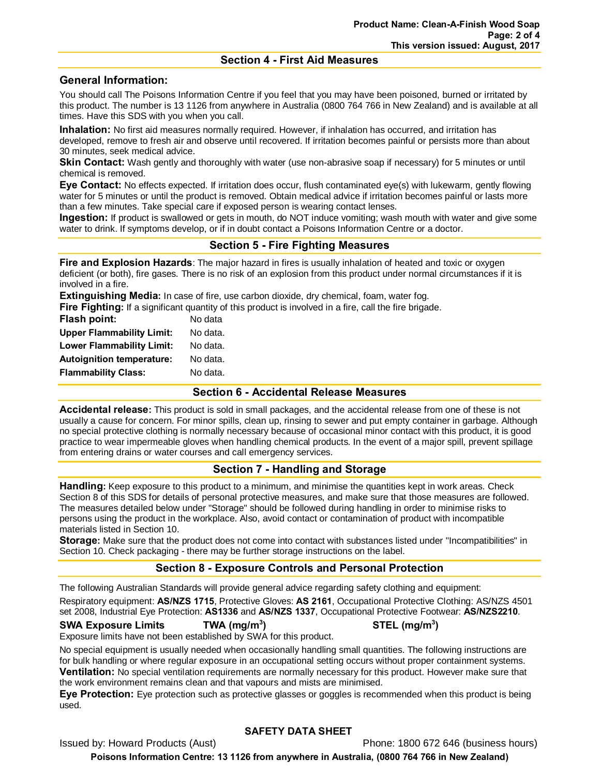## **Section 4 - First Aid Measures**

# **General Information:**

You should call The Poisons Information Centre if you feel that you may have been poisoned, burned or irritated by this product. The number is 13 1126 from anywhere in Australia (0800 764 766 in New Zealand) and is available at all times. Have this SDS with you when you call.

**Inhalation:** No first aid measures normally required. However, if inhalation has occurred, and irritation has developed, remove to fresh air and observe until recovered. If irritation becomes painful or persists more than about 30 minutes, seek medical advice.

**Skin Contact:** Wash gently and thoroughly with water (use non-abrasive soap if necessary) for 5 minutes or until chemical is removed.

**Eye Contact:** No effects expected. If irritation does occur, flush contaminated eye(s) with lukewarm, gently flowing water for 5 minutes or until the product is removed. Obtain medical advice if irritation becomes painful or lasts more than a few minutes. Take special care if exposed person is wearing contact lenses.

**Ingestion:** If product is swallowed or gets in mouth, do NOT induce vomiting; wash mouth with water and give some water to drink. If symptoms develop, or if in doubt contact a Poisons Information Centre or a doctor.

# **Section 5 - Fire Fighting Measures**

**Fire and Explosion Hazards**: The major hazard in fires is usually inhalation of heated and toxic or oxygen deficient (or both), fire gases. There is no risk of an explosion from this product under normal circumstances if it is involved in a fire.

**Extinguishing Media:** In case of fire, use carbon dioxide, dry chemical, foam, water fog.

**Fire Fighting:** If a significant quantity of this product is involved in a fire, call the fire brigade.

| <b>Flash point:</b>              | No data  |
|----------------------------------|----------|
| <b>Upper Flammability Limit:</b> | No data. |
| <b>Lower Flammability Limit:</b> | No data. |
| <b>Autoignition temperature:</b> | No data. |
| <b>Flammability Class:</b>       | No data. |
|                                  |          |

## **Section 6 - Accidental Release Measures**

**Accidental release:** This product is sold in small packages, and the accidental release from one of these is not usually a cause for concern. For minor spills, clean up, rinsing to sewer and put empty container in garbage. Although no special protective clothing is normally necessary because of occasional minor contact with this product, it is good practice to wear impermeable gloves when handling chemical products. In the event of a major spill, prevent spillage from entering drains or water courses and call emergency services.

# **Section 7 - Handling and Storage**

**Handling:** Keep exposure to this product to a minimum, and minimise the quantities kept in work areas. Check Section 8 of this SDS for details of personal protective measures, and make sure that those measures are followed. The measures detailed below under "Storage" should be followed during handling in order to minimise risks to persons using the product in the workplace. Also, avoid contact or contamination of product with incompatible materials listed in Section 10.

**Storage:** Make sure that the product does not come into contact with substances listed under "Incompatibilities" in Section 10. Check packaging - there may be further storage instructions on the label.

# **Section 8 - Exposure Controls and Personal Protection**

The following Australian Standards will provide general advice regarding safety clothing and equipment:

Respiratory equipment: **AS/NZS 1715**, Protective Gloves: **AS 2161**, Occupational Protective Clothing: AS/NZS 4501 set 2008, Industrial Eye Protection: **AS1336** and **AS/NZS 1337**, Occupational Protective Footwear: **AS/NZS2210**.

## **SWA Exposure Limits TWA (mg/m3**

Exposure limits have not been established by SWA for this product.

No special equipment is usually needed when occasionally handling small quantities. The following instructions are for bulk handling or where regular exposure in an occupational setting occurs without proper containment systems. **Ventilation:** No special ventilation requirements are normally necessary for this product. However make sure that the work environment remains clean and that vapours and mists are minimised.

**Eye Protection:** Eye protection such as protective glasses or goggles is recommended when this product is being used.

# **SAFETY DATA SHEET**

Issued by: Howard Products (Aust) **Phone: 1800 672 646 (business hours)** 

**Poisons Information Centre: 13 1126 from anywhere in Australia, (0800 764 766 in New Zealand)**

**) STEL (mg/m3 )**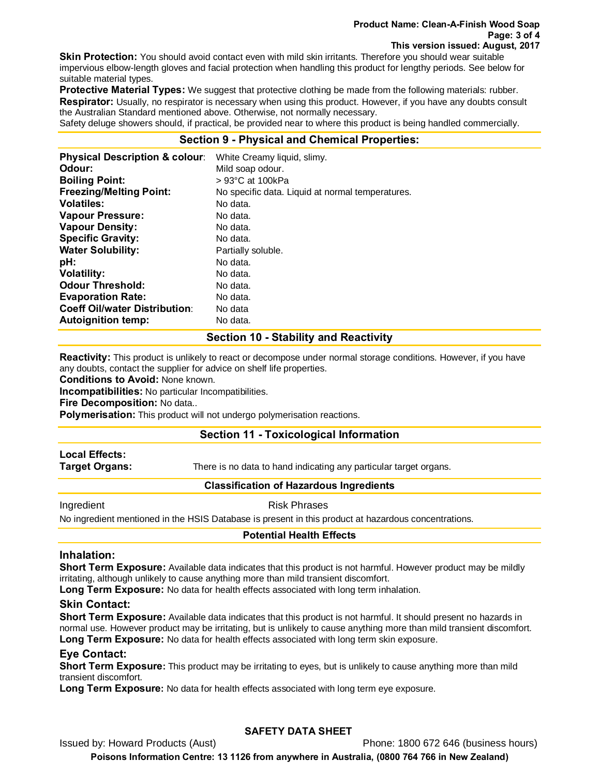#### **Product Name: Clean-A-Finish Wood Soap Page: 3 of 4 This version issued: August, 2017**

**Skin Protection:** You should avoid contact even with mild skin irritants. Therefore you should wear suitable impervious elbow-length gloves and facial protection when handling this product for lengthy periods. See below for suitable material types.

**Protective Material Types:** We suggest that protective clothing be made from the following materials: rubber. **Respirator:** Usually, no respirator is necessary when using this product. However, if you have any doubts consult the Australian Standard mentioned above. Otherwise, not normally necessary.

Safety deluge showers should, if practical, be provided near to where this product is being handled commercially.

# **Section 9 - Physical and Chemical Properties:**

| Odour:<br>Mild soap odour.<br><b>Boiling Point:</b><br>$> 93^{\circ}$ C at 100kPa<br><b>Freezing/Melting Point:</b><br>No specific data. Liquid at normal temperatures.<br><b>Volatiles:</b><br>No data.<br><b>Vapour Pressure:</b><br>No data.<br><b>Vapour Density:</b><br>No data.<br><b>Specific Gravity:</b><br>No data.<br><b>Water Solubility:</b><br>Partially soluble.<br>pH:<br>No data.<br><b>Volatility:</b><br>No data. |
|--------------------------------------------------------------------------------------------------------------------------------------------------------------------------------------------------------------------------------------------------------------------------------------------------------------------------------------------------------------------------------------------------------------------------------------|
|                                                                                                                                                                                                                                                                                                                                                                                                                                      |
|                                                                                                                                                                                                                                                                                                                                                                                                                                      |
|                                                                                                                                                                                                                                                                                                                                                                                                                                      |
|                                                                                                                                                                                                                                                                                                                                                                                                                                      |
|                                                                                                                                                                                                                                                                                                                                                                                                                                      |
|                                                                                                                                                                                                                                                                                                                                                                                                                                      |
|                                                                                                                                                                                                                                                                                                                                                                                                                                      |
|                                                                                                                                                                                                                                                                                                                                                                                                                                      |
|                                                                                                                                                                                                                                                                                                                                                                                                                                      |
|                                                                                                                                                                                                                                                                                                                                                                                                                                      |
| <b>Odour Threshold:</b><br>No data.                                                                                                                                                                                                                                                                                                                                                                                                  |
| <b>Evaporation Rate:</b><br>No data.                                                                                                                                                                                                                                                                                                                                                                                                 |
| <b>Coeff Oil/water Distribution:</b><br>No data                                                                                                                                                                                                                                                                                                                                                                                      |
| <b>Autoignition temp:</b><br>No data.                                                                                                                                                                                                                                                                                                                                                                                                |

## **Section 10 - Stability and Reactivity**

**Reactivity:** This product is unlikely to react or decompose under normal storage conditions. However, if you have any doubts, contact the supplier for advice on shelf life properties.

**Conditions to Avoid:** None known.

**Incompatibilities:** No particular Incompatibilities.

**Fire Decomposition:** No data..

**Polymerisation:** This product will not undergo polymerisation reactions.

## **Section 11 - Toxicological Information**

# **Local Effects:**

**Target Organs:** There is no data to hand indicating any particular target organs.

## **Classification of Hazardous Ingredients**

Ingredient **Risk Phrases** 

No ingredient mentioned in the HSIS Database is present in this product at hazardous concentrations.

#### **Potential Health Effects**

## **Inhalation:**

**Short Term Exposure:** Available data indicates that this product is not harmful. However product may be mildly irritating, although unlikely to cause anything more than mild transient discomfort.

**Long Term Exposure:** No data for health effects associated with long term inhalation.

## **Skin Contact:**

**Short Term Exposure:** Available data indicates that this product is not harmful. It should present no hazards in normal use. However product may be irritating, but is unlikely to cause anything more than mild transient discomfort. **Long Term Exposure:** No data for health effects associated with long term skin exposure.

## **Eye Contact:**

**Short Term Exposure:** This product may be irritating to eyes, but is unlikely to cause anything more than mild transient discomfort.

**Long Term Exposure:** No data for health effects associated with long term eye exposure.

# **SAFETY DATA SHEET**

Issued by: Howard Products (Aust) Phone: 1800 672 646 (business hours)

**Poisons Information Centre: 13 1126 from anywhere in Australia, (0800 764 766 in New Zealand)**